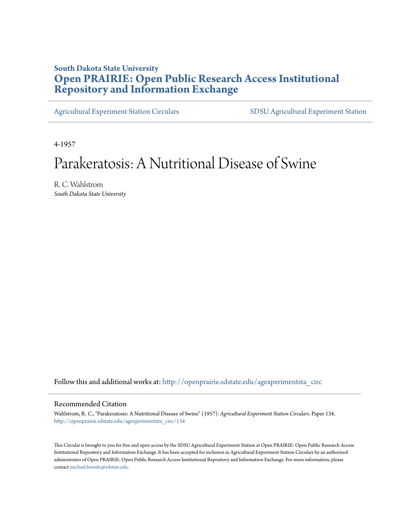### **South Dakota State University [Open PRAIRIE: Open Public Research Access Institutional](http://openprairie.sdstate.edu?utm_source=openprairie.sdstate.edu%2Fagexperimentsta_circ%2F134&utm_medium=PDF&utm_campaign=PDFCoverPages) [Repository and Information Exchange](http://openprairie.sdstate.edu?utm_source=openprairie.sdstate.edu%2Fagexperimentsta_circ%2F134&utm_medium=PDF&utm_campaign=PDFCoverPages)**

[Agricultural Experiment Station Circulars](http://openprairie.sdstate.edu/agexperimentsta_circ?utm_source=openprairie.sdstate.edu%2Fagexperimentsta_circ%2F134&utm_medium=PDF&utm_campaign=PDFCoverPages) [SDSU Agricultural Experiment Station](http://openprairie.sdstate.edu/agexperimentsta?utm_source=openprairie.sdstate.edu%2Fagexperimentsta_circ%2F134&utm_medium=PDF&utm_campaign=PDFCoverPages)

4-1957

### Parakeratosis: A Nutritional Disease of Swine

R. C. Wahlstrom *South Dakota State University*

Follow this and additional works at: [http://openprairie.sdstate.edu/agexperimentsta\\_circ](http://openprairie.sdstate.edu/agexperimentsta_circ?utm_source=openprairie.sdstate.edu%2Fagexperimentsta_circ%2F134&utm_medium=PDF&utm_campaign=PDFCoverPages)

#### Recommended Citation

Wahlstrom, R. C., "Parakeratosis: A Nutritional Disease of Swine" (1957). *Agricultural Experiment Station Circulars.* Paper 134. [http://openprairie.sdstate.edu/agexperimentsta\\_circ/134](http://openprairie.sdstate.edu/agexperimentsta_circ/134?utm_source=openprairie.sdstate.edu%2Fagexperimentsta_circ%2F134&utm_medium=PDF&utm_campaign=PDFCoverPages)

This Circular is brought to you for free and open access by the SDSU Agricultural Experiment Station at Open PRAIRIE: Open Public Research Access Institutional Repository and Information Exchange. It has been accepted for inclusion in Agricultural Experiment Station Circulars by an authorized administrator of Open PRAIRIE: Open Public Research Access Institutional Repository and Information Exchange. For more information, please contact [michael.biondo@sdstate.edu](mailto:michael.biondo@sdstate.edu).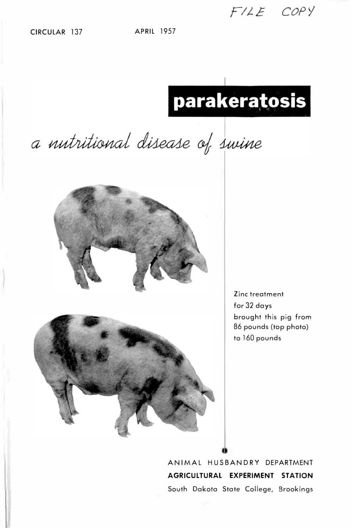CIRCULAR 137 APRIL 1957

# parakeratosis

*FIJ.E. COPY* 

a nutritional disease of swine



Zinc treatment for 32 days brought this pig from 86 pounds (top photo) to 160 pounds

ANIMAL HUSBANDRY DEPARTMENT **AGRICULTURAL EXPERIMENT STATION**  South Dakota State College, Brookings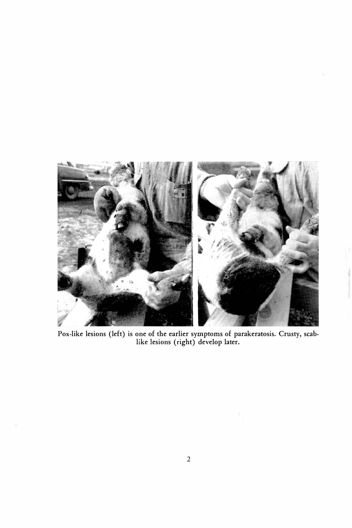

**Pox-like lesions (left) is one of the earlier symptoms of parakeratosis. Crusty, scablike lesions (right) develop later.**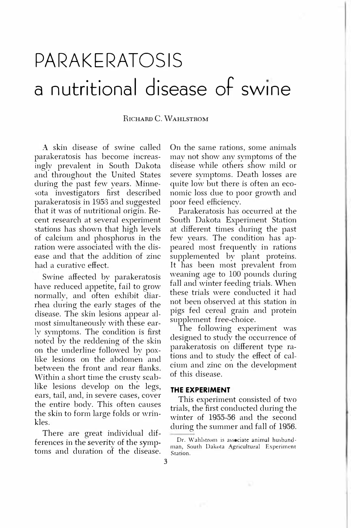## **PARAKERATOSIS a nutritional disease of swine**

#### **RICHARD C. WAHLSTROM**

A skin disease of swine called parakeratosis has become increasingly prevalent in South Dakota and throughout the United States during the past few years. Minnesota investigators first described parakeratosis in 1953 and suggested that it was of nutritional origin. Recent research at several experiment stations has shown that high levels of calcium and phosphorus in the ration were associated with the disease and that the addition of zinc had a curative effect.

Swine affected by parakeratosis have reduced appetite, fail to grow normally, and often exhibit diarrhea during the early stages of the disease. The skin lesions appear almost simultaneously with these early symptoms. The condition is first noted by the reddening of the skin on the underline followed by poxlike lesions on the abdomen and between the front and rear flanks. Within a short time the crusty scablike lesions develop on the legs, ears, tail, and, in severe cases, cover the entire body. This often causes the skin to form large folds or wrinkles.

There are great individual differences in the severity of the symptoms and duration of the disease. On the same rations, some animals may not show any symptoms of the disease while others show mild or severe symptoms. Death losses are quite low but there is often an economic loss due to poor growth and poor feed efficiency.

Parakeratosis has occurred at the South Dakota Experiment Station at different times during the past few years. The condition has appeared most frequently in rations supplemented by plant proteins. It has been most prevalent from weaning age to 100 pounds during fall and winter feeding trials. When these trials were conducted it had not been observed at this station in pigs fed cereal grain and protein supplement free-choice.

The following experiment was designed to study the occurrence of parakeratosis on different type rations and to study the effect of calcium and zinc on the development of this disease.

#### **THE EXPERIMENT**

This experiment consisted of two trials, the first conducted during the winter of 1955-56 and the second during the summer and fall of 1956.

Dr. Wahlstrom is associate animal husbandman, South Dakota Agricultural Experiment Station.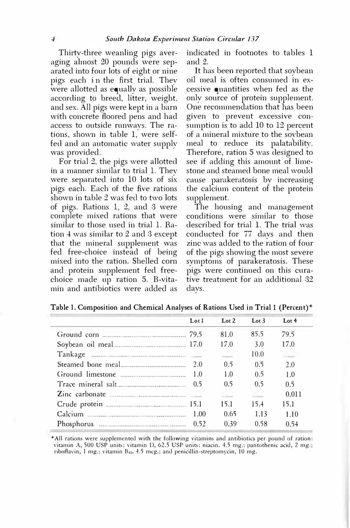Thirty-three weanling pigs averaging almost 20 pounds were separated into four lots of eight or nine pigs each i n the first trial. They were allotted as equally as possible according to breed, litter, weight, and sex. All pigs were kept in a barn with concrete floored pens and had access to outside runways. The rations, shown in table 1, were selffed and an automatic water supply was provided.

For trial 2, the pigs were allotted in a manner similar to trial 1. They were separated into 10 lots of six pigs each. Each of the five rations shown in table 2 was fed to two lots of pigs. Rations 1, 2, and 3 were complete mixed rations that were similar to those used in trial 1. Ration 4 was similar to 2 and 3 except that the mineral supplement was fed free-choice instead of being mixed into the ration. Shelled corn and protein supplement feel freechoice made up ration 5. B-vitamin and antibiotics were added as

indicated in footnotes to tables 1 and 2.

It has been reported that soybean oil meal is often consumed in excessive quantities when fed as the only source of protein supplement. One recommendation that has been given to prevent excessive consumption is to add 10 to 12 percent of a mineral mixture to the soybean meal to reduce its palatability. Therefore, ration 5 was designed to see if adding this amount of limestone and steamed bone meal would cause parakeratosis by increasing the calcium content of the protein supplement.

The housing and management conditions were similar to those described for trial 1. The trial was conducted for 77 days and then zinc was added to the ration of four of the pigs showing the most severe symptoms of parakeratosis. These pigs were continued on this curative treatment for an additional 32 clays.

| Lot 1 | Lot $2$        | Lot $3$        | Lot $4$ |
|-------|----------------|----------------|---------|
|       | 81.0           | 85.5           | 79.5    |
|       | 17.0           | 3.0            | 17.0    |
|       | <b>Service</b> | 10.0           | 中国      |
|       | 0.5            | 0.5            | 2.0     |
| 1.0   | 1.0            | 0.5            | 1.0     |
|       | 0.5            | 0 <sub>5</sub> | 0.5     |
|       |                |                | 0.011   |
|       | 15.1           | 15.4           | 15.1    |
| 1.00  | 0.65           | 1.13           | 1.10    |
|       | 0.39           | 0.58           | 0.54    |

**Table 1. Composition and Chemical Analyses of Rations Used in Trial 1 (Percent)\*** 

• All rations were supplemented with the following vitamins and antibiotics per pound of ration: vitamin A, 500 USP units; vitamin D, 62.5 USP units; niacin, 4.5 mg.; pantothenic acid, 2 mg.; riboflavin, 1 mg.; vitamin B12, 4.5 mcg.; and penicillin-streptomycin, 10 mg.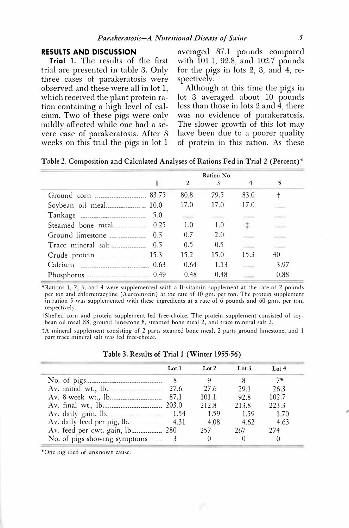#### **RESULTS AND DISCUSSION**

**Trial** 1. The results of the first trial are presented in table 3. Only three cases of parakeratosis were observed and these were all in lot 1, which received the plant protein ration containing a high level of calcium. Two of these pigs were only mildly affected while one had a severe case of parakeratosis. After 8 weeks on this trial the pigs in lot 1

averaged 87.1 pounds compared with 101.1, 92.8, and 102.7 pounds for the pigs in lots 2, 3, and 4, respectively.

Although at this time the pigs in lot 3 averaged about 10 pounds less than those in lots 2 and 4, there was no evidence of parakeratosis. The slower growth of this lot may have been due to a poorer quality of protein in this ration. As these

|                    |     | 2    | Ration No.<br>3 | 4    | 5    |
|--------------------|-----|------|-----------------|------|------|
| Ground corn 83.75  |     | 80.8 | 79.5            | 83.0 |      |
|                    |     | 17.0 | 17.0            | 17.0 |      |
|                    | 5.0 |      |                 |      |      |
|                    |     | 1.0  | 1.0             |      |      |
|                    |     | 0.7  | 2.0             |      |      |
| Trace mineral salt | 0.5 | 0.5  | 0.5             |      |      |
|                    |     | 15.2 | 15.0            | 15.3 | 40   |
|                    |     | 0.64 | 1.13            |      | 3.97 |
|                    |     | 0.48 | 0.48            |      | 0.88 |

Table 2. Composition and Calculated Analyses of Rations Fed in Trial 2 (Percent)\*

\*Rations I, 2, 3, and 4 were supplemented with a B-vitamin supplement at the rate of 2 pounds per ton and chlortetracyline (Aureomycin) at the rate of IO gm. per ton. The protein supplement in ration 5 was supplemented with these ingredients at a rate of 6 pounds and 60 gms. per ton, respectively.

i·Shelled corn and protein supplement fed free-choice. The protein supplement consisted of soybean oil meal 88, ground limestone 8, steamed bone meal 2, and trace mineral salt 2.

+A mineral supplement consisting of 2 parts steamed bone meal, 2 parts ground limestone, and I part trace mineral salt was fed free-choice.

|                          | Lot 1 | Lot 2 | Lot 3 | Lot $4$ |
|--------------------------|-------|-------|-------|---------|
|                          |       |       |       | $7*$    |
|                          |       | 27.6  | 29.1  | 26.3    |
| Av. 8-week wt., lb. 37.1 |       | 101.1 | 92.8  | 102.7   |
| Av. final wt., lb.       |       | 212.8 | 213.8 | 223.3   |
| Av. daily gain, lb. 154  |       | 1.59  | 1.59  | 1.70    |
|                          |       | 4.08  | 4.62  | 4.63    |
|                          |       | 257   | 267   | 274     |
|                          |       |       |       |         |

#### Table 3. Results of Trial I (Winter 1955-56)

\*One pig died of unknown cause.

•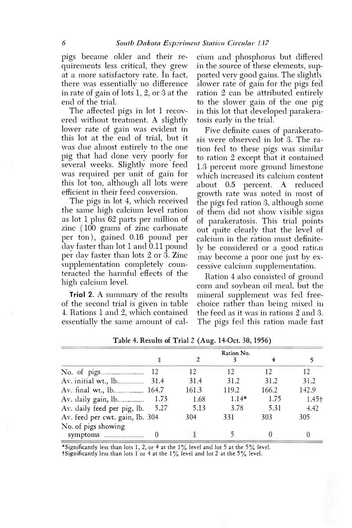pigs became older and their requirements less critical, they grew at a more satisfactory rate. In fact, there was essentially no difference in rate of gain of lots 1, 2, or 3 at the end of the trial.

The affected pigs in lot 1 recovered without treatment. A slightly lower rate of gain was evident in this lot at the end of trial, but it was due almost entirely to the one pig that had done very poorly for several weeks. Slightly more feed was required per unit of gain for this lot too, although all lots were efficient in their feed conversion.

The pigs in lot 4, which received the same high calcium level ration as lot 1 plus 62 parts per million of zinc ( 100 grams of zinc carbonate per ton), gained 0.16 pound per day faster than lot 1 and 0.11 pound per day faster than lots 2 or 3. Zinc supplementation completely counteracted the harmful effects of the high calcium level.

**Trial 2.** A summary of the results of the second trial is given in table 4. Rations 1 and 2, which contained essentially the same amount of calcium and phosphorus but differed in the source of these elements, supported very good gains. The slighth slower rate of gain for the pigs fed ration 2 can be attributed entirely to the slower gain of the one pig in this lot that developed parakeratosis early in the trial.

Five definite cases of parakeratosis were observed in lot 3. The ration fed to these pigs was similar to ration 2 except that it contained 1.3 percent more ground limestone which increased its calcium content about 0.5 percent. A reduced growth rate was noted in most of the pigs fed ration 3, although some of them did not show visible signs of parakeratosis. This trial points out quite clearly that the level of calcium in the ration must definitely be considered or a good ration may become a poor one just by excessive calcium supplementation.

Ration 4 also consisted of ground corn and soybean oil meal, but the mineral supplement was fed freechoice rather than being mixed in the feed as it was in rations 2 and 3. The pigs fed this ration made fast

|                                  | Ration No. |       |         |       |         |  |
|----------------------------------|------------|-------|---------|-------|---------|--|
|                                  |            |       |         | 4     |         |  |
|                                  | 12         | 12    | 12      | 12    | 12      |  |
|                                  |            | 31.4  | 31.2    | 31.2  | 31.2    |  |
| Av. final wt., lb 164.7          |            | 161.3 | 119.2   | 166.2 | 142.9   |  |
| Av. daily gain, lb.   1.73       |            | 1.68  | $1.14*$ | 1.75  | $1.45+$ |  |
| Av. daily feed per pig, lb. 5.27 |            | 5.13  | 3.78    | 5.31  | 4.42    |  |
| Av. feed per cwt. gain, lb. 304  |            | 304   | 331     | 303   | 305     |  |
| No. of pigs showing              |            |       |         |       |         |  |
| symptoms <b>symptoms</b>         |            |       |         |       |         |  |

Table 4. Results of Trial 2 (Aug. 14-0ct. 30, 1956)

\*Significantly less than lots 1, 2, or 4 at the  $1\%$  level and lot 5 at the 5% level.

tSignificantly less than lots I or 4 at the I% level and lot 2 at the 5% level.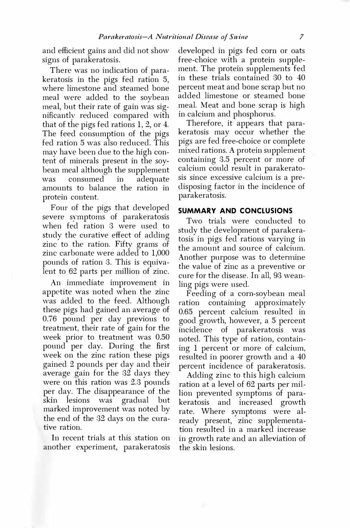and efficient gains and did not show signs of parakeratosis.

There was no indication of parakeratosis in the pigs fed ration 5, where limestone and steamed bone meal were added to the soybean meal, but their rate of gain was significantly reduced compared with that of the pigs fed rations 1, 2, or 4. The feed consumption of the pigs fed ration 5 was also reduced. This may have been due to the high content of minerals present in the soybean meal although the supplement was consumed in adequate amounts to balance the ration in protein content.

Four of the pigs that developed severe symptoms of parakeratosis when fed ration 3 were used to study the curative effect of adding zinc to the ration. Fifty grams of zinc carbonate were added to 1,000 pounds of ration 3. This is equivalent to 62 parts per million of zinc.

An immediate improvement in appetite was noted when the zinc was added to the feed. Although these pigs had gained an average of 0.76 pound per day previous to treatment, their rate of gain for the week prior to treatment was 0.50 pound per day. During the first week on the zinc ration these pigs gained 2 pounds per day and their average gain for the 32 days they were on this ration was 2.3 pounds per day. The disappearance of the skin lesions was gradual but marked improvement was noted by the end of the 32 days on the curative ration.

In recent trials at this station on another experiment, parakeratosis

developed in pigs fed com or oats free-choice with a protein supplement. The protein supplements fed in these trials contained 30 to 40 percent meat and bone scrap but no added limestone or steamed bone meal. Meat and bone scrap is high in calcium and phosphorus.

Therefore, it appears that parakeratosis may occur whether the pigs are fed free-choice or complete mixed rations. A protein supplement containing 3.5 percent or more of calcium could result in parakeratosis since excessive calcium is a predisposing factor in the incidence of parakeratosis.

#### **SUMMARY AND CONCLUSIONS**

Two trials were conducted to study the development of parakeratosis in pigs fed rations varying in the amount and source of calcium. Another purpose was to determine the value of zinc as a preventive or cure for the disease. In all, 93 weanling pigs were used.

Feeding of a corn-soybean meal ration containing approximately 0.65 percent calcium resulted in good growth, however, a 5 percent incidence of parakeratosis was noted. This type of ration, containing 1 percent or more of calcium, resulted in poorer growth and a 40 percent incidence of parakeratosis.

Adding zinc to this high calcium ration at a level of 62 parts per million prevented symptoms of parakeratosis and increased growth rate. Where symptoms were already present, zinc supplementation resulted in a marked increase in growth rate and an alleviation of the skin lesions.